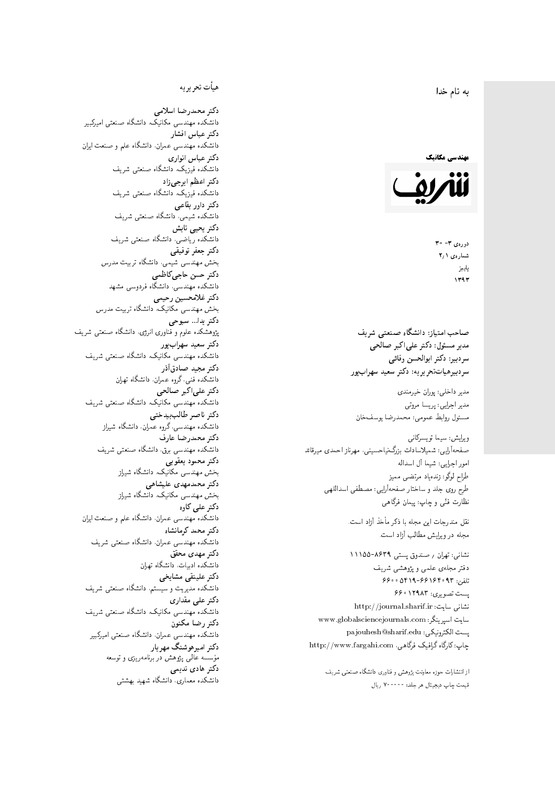#### $\overline{\phantom{a}}$ ز<br>ن به نام خدا .<br>.

# مهندسی مکانیک



 $30 - 7$  3  $30 - 30$ شمارەي ۲٫۱ پاييز<br>.  $1197$ 

صاحب امتیاز: دانشگاه صنعتی شریف  $\mathfrak{c}$ مدیر مسئول: دکتر علیاکبر صالحی  $\mathfrak{c}$ سردبير: دكتر ابوالحسن وفائي سردبیرهیاتتحر یر یه : دکتر سعید سهرابپور

مدير داخلى: پوران خيرمندى<br>. مدير اجرايي: پريسا مروتي<br>. مسئول روابط عمومی: محمدرضا يوسفخان<br>.

ويرايش: سيما تويسركان<sub>ى</sub><br>مىسى<sup>تى</sup>ل صفحهآرایی: شمیلاسادات بزرگ نیاحسینی، مهرناز احمدی میرقائد<br>ا امور اجرایی: شیما آل اسداله<br>سلسمه طراح لوگو: زندهیاد مرتضمی ممیز<br>ا طرح روى جلد و ساختار صفحه[رایی: مصطفى اسداللهی<br>بنالمستقد نظارت فنَّى و چاپ: پيمان فرگاهى<br>.

نقل مندرجات این مجله با ذکر مأخذ آزاد است.<br>مجله در ویرایش مطالب آزاد است.

نشانی: تهران / صندوق پستی ۸۶۳۹-۱۱۱۵۵ دفتر مجلهى علمى و پژوهشى شريف 7600 06196-96169 و 960 یست تصویری: ۱۲۹۸۳ ۶۶۰ نشانی سایت: http://journal.sharif.ir<br>م سايت اسپرينگر: www.globalsciencejournals.com<br>دادم ساخت pajouhesh@sharif.edu :يست الكترونيكي: چاپ: کارگاه گرافیک فرگاهی، http://www.fargahi.com

از انتشارات حوزه معاونت پژوهش و فناوری دانشگاه صنعتی شریف قيمت جاپ ديجيتال هر جلد: ۲۰۰۰۰۰ ريال

#### هيأت تحريريه

دكتر محمدرضا اسلامى مکانیک، دانشگاه صنعتی امیرکبیر<br>. دكتر عباس افشار دانشکده مهندسی عمران، دانشگاه علم و صنعت ایران<br>بحمد مصلحات دكتر عباس انوارى دانشکده فیزیک، دانشگاه صنعتبی شریف<br>محمد استانسا دکتر اعظم ايرجى زاد ، دانشگاه صنعتبی شریف<br>. دکتر داور بقاع**ی** دانشکده شیمی، دانشگاه صنعتی شریف<br>دکتر یحیی تابش دانشکده ریاضی، دانشگاه صنعتی شریف<br>برمسمنستانستان دكتر جعفر توفيقي بخش مهندسی شیمی، دانشگاه تربیت مدرس<br>سم دكتر حسن حاجىكاظمي دانشکده مهندسی، دانشگاه فردوسی مشهد<br>کستفلار م دكتر غلامحسين رحيمي هندسی مکانیک، دانشگاه تربیت مدرس<br>ا دکتر یدا... سبوحی پژوهشکده علوم و فناوری انرژی، دانشگاه صنعتبی شریف دکتر سعید سهرابپور<br>دانشکده مهندسی مکانیک، دانشگاه صنعتی شریف دکتر مجيد صادقاذر ا<br>. دانشکده فنی، گروه عمران، دانشگاه تهران دکتر علیاکبر صالحی = دانشکده مهندسی مکانیک، دانشگاه صنعتی شریف<br>یکستا دکتر ناصر طالب بیدختی r  $\mathfrak{c}$ دانشکده مهندسی، گروه عمران، دانشگاه شیراز<br>مکتب مصدر مقبل علم دكتر محمدرضا عارف دانشکده مهندسی برق، دانشگاه صنعتی شریف<br><mark>دکتر محمود یعقوبی</mark> هندسی مکانیک، دانشگاه شیراز<br>مسدوده مصلوفیاه دکتر محمدمهدی علیشاهی بخش مهندسی مکانیک، دانشگاه شیراز<br>مکتبهای کابی دکتر علی کاوہ دانشکده مهندسی عمران، دانشگاه علم و صنعت ایران<br>بحت دکتر محمد کرمانشاه .<br>. دانشکده مهندسی عمران، دانشگاه صنعتی شریف<br>مکتبر دولت مستق دکتر مهد*ی* محقق دانشکده ادبیات، دانشگاه تهران دکتر علینقی مشایخ<u>ی</u> دانشکده مدیریت و سیستم، دانشگاه صنعتبی شریف<br>محمد باست دکتر علی مقداری مکانیک، دانشگاه صنعتی شریف<br>. دكتر رضا مكنون دانشکده مهندسی عمران. دانشگاه صنعتی امیرکبیر<br>محمد است میگ دکتر امیرهوشنگ مهریار سه عالمی پژوهش در برنامهریزی و توسعه<br>۱۹ادم خار موسه<br>بر ءُ<br>ك دکتر هادی ندیمی  $\overline{a}$ المحلكة المحلمة التي تتوقف المحلمة التي تتوقف المحلمة التي تتوقف المحلمة التي تتوقف المحلمة التي تتوقف المحلمة<br>التي تتوقف المحلمة التي تتوقف المحلمة التي تتوقف المحلمة التي تتوقف المحلمة التي تتوقف المحلمة التي تتوقف المح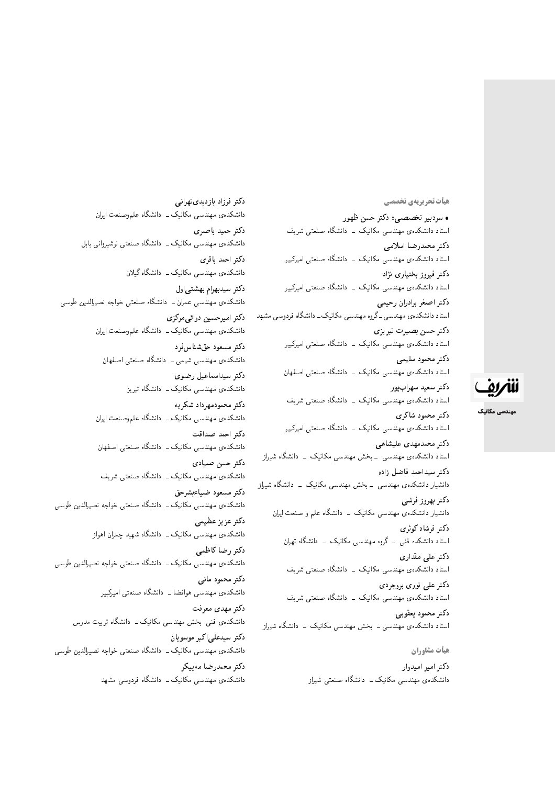هيأت تحريريهي تخصصي

• سردبیر تخصصی: دکتر حسن ظهور استاد دانشکدهی مهندسی مکانیک <mark>– دانشگاه صنعتی شریف</mark> دكتر محمدرضا اسلامى استاد دانشکدهی مهندسی مکانیک <mark>ـ دانشگاه صنعتی امیرکبیر</mark> دکتر فیروز بختیاری نژاد استاد دانشکدهی مهندسی مکانیک <mark>– دانشگاه صنعتی امیرکبیر</mark> دكتر اصغر برادران رحيمي استاد دانشکدهی مهندسبی ـ گروه مهندسبی مکانیک ـ دانشگاه فردوسبی مشهد دكتر حسن بصيرت تبريزي استاد دانشکدهی مهندسی مکانیک <mark>ـ دانشگاه صنعتی امیرکبیر</mark> دكتر محمود سليمي استاد دانشکدهی مهندسی مکانیک \_ دانشگاه صنعتی اصفهان دکتر سعید سهرابپور استاد دانشکدهی مهندسی مکانیک \_ دانشگاه صنعتی شریف دكتر محمود شاكرى استاد دانشکدهی مهندسی مکانیک <mark>– دانشگاه صنعتی امیرکبیر</mark> دکتر محمدمهدی علیشاهی استاد دانشکدهی مهندسی <mark>ـ بخش مهندسی مکانیک ـ دانشگاه</mark> شی<sub>ل</sub>از دكتر سيداحمد فاضل زاده دانشیار دانشکدهی مهندسی <mark>ـ بخش مهندسی مکانیک ـ دانشگاه</mark> شیراز دكتر بهروز فرشي دانشیار دانشکدهی مهندسی مکانیک <mark>ب</mark> دانشگاه علم و صنعت ایران د*ك*تر فرشاد كوثرى استاد دانشکده فنبی ــ گروه مهندسی مکانیک ــ دانشگاه تهران دکتر عل*ی* مقداری استاد دانشکدهی مهندسی مکانیک \_ دانشگاه صنعتی شریف دکتر علی نوری بروجردی استاد دانشکدهی مهندسی مکانیک ــ دانشگاه صنعتی شریف دكتر محمود يعقوبي استاد دانشکدهی مهندسی ــ بخش مهندسی مکانیک ــ دانشگاه شیراز هيأت مشاوران

دکتر امیر امیدوار دانشکدهی مهندسی مکانیک ــ دانشگاه صنعتی شیراز

دكتر فرزاد بازديدىتهراني دانشکدهی مهندسی مکانیک ــ دانشگاه علموصنعت ایران دكتر حميد باصري دانشکدهی مهندسی مکانیک ــ دانشگاه صنعتبی نوشیروانی بابل دكتر احمد باقرى دانشکدهی مهندسی مکانیک ــ دانشگاه گیلان دكتر سيدبهرام بهشتى اول دانشکدهی مهندسی عمران ــ دانشگاه صنعتی خواجه نصیرالدین طوسی دكتر اميرحسين دوائي مركزى دانشکدهی مهندسی مکانیک ــ دانشگاه علموصنعت ایران دکتر مسعود حقشناسفرد دانشکدهی مهندسی شیمی ــ دانشگاه صنعتی اصفهان دكتر سيداسماعيل رضوى دانشکدهی مهندسی مکانیک ـ دانشگاه تبریز دکتر محمودمهرداد شکریه دانشکدهی مهندسی مکانیک ــ دانشگاه علموصنعت ایران دكتر احمد صداقت دانشکدهی مهندسی مکانیک ــ دانشگاه صنعتی اصفهان دكتر حسن صيادى دانشکدهی مهندسی مکانیک ــ دانشگاه صنعتبی شریف دكتر مسعود ضياءبشرحق دانشکدهی مهندسی مکانیک ــ دانشگاه صنعتی خواجه نصیرالدین طوسی دكتر عزيز عظيمي دانشکدهی مهندسی مکانیک ــ دانشگاه شهید چمران اهواز دكتر رضاكاظمى دانشکدهی مهندسی مکانیک ــ دانشگاه صنعتبی خواجه نصیرالدین طوسی دكتر محمود مانى دانشکدهی مهندسی هوافضا ــ دانشگاه صنعتی امیرکبیر دکتر مهدی معرفت دانشکدہی فنبی، بخش مهندسی مکانیک ــ دانشگاه تربیت مدرس دکتر سیدعلی اکبر موسویان دانشکدهی مهندسی مکانیک ــ دانشگاه صنعتی خواجه نصیرالدین طوسی دكتر محمدرضا مەييكر دانشکدهی مهندسی مکانیک ــ دانشگاه فردوسی مشهد



مهندسی مکانیک